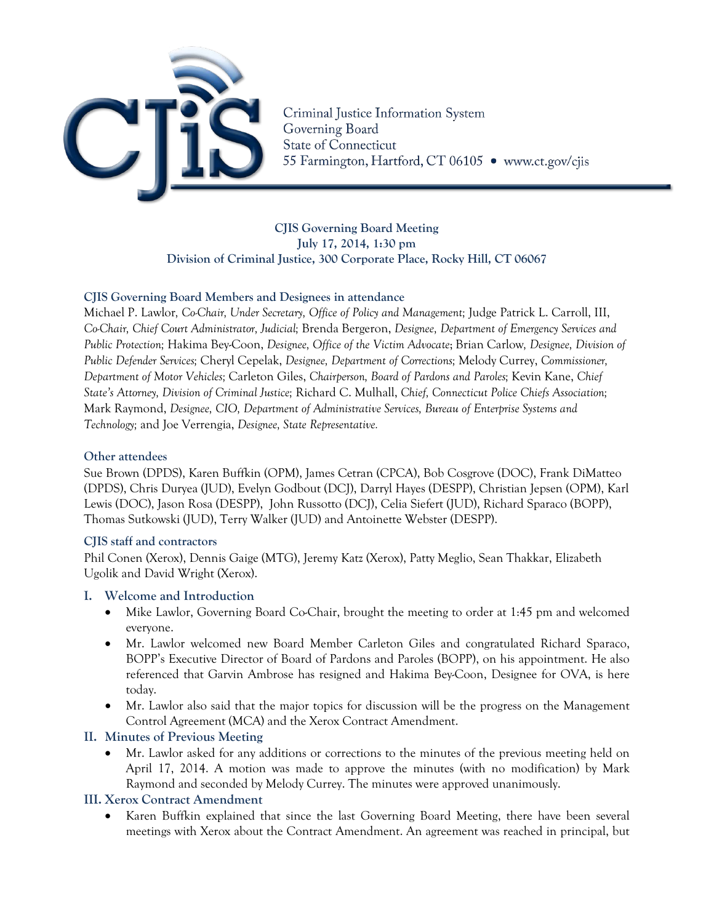

Criminal Justice Information System Governing Board **State of Connecticut** 55 Farmington, Hartford, CT 06105 · www.ct.gov/cjis

**CJIS Governing Board Meeting July 17, 2014, 1:30 pm Division of Criminal Justice, 300 Corporate Place, Rocky Hill, CT 06067**

#### **CJIS Governing Board Members and Designees in attendance**

Michael P. Lawlor*, Co-Chair, Under Secretary, Office of Policy and Management;* Judge Patrick L. Carroll, III, *Co-Chair, Chief Court Administrator, Judicial;* Brenda Bergeron, *Designee, Department of Emergency Services and Public Protection;* Hakima Bey-Coon, *Designee, Office of the Victim Advocate*; Brian Carlow*, Designee, Division of Public Defender Services;* Cheryl Cepelak, *Designee, Department of Corrections;* Melody Currey, *Commissioner, Department of Motor Vehicles;* Carleton Giles, *Chairperson, Board of Pardons and Paroles;* Kevin Kane, *Chief State's Attorney, Division of Criminal Justice;* Richard C. Mulhall, *Chief, Connecticut Police Chiefs Association;*  Mark Raymond, *Designee, CIO, Department of Administrative Services, Bureau of Enterprise Systems and Technology;* and Joe Verrengia, *Designee, State Representative.*

#### **Other attendees**

Sue Brown (DPDS), Karen Buffkin (OPM), James Cetran (CPCA), Bob Cosgrove (DOC), Frank DiMatteo (DPDS), Chris Duryea (JUD), Evelyn Godbout (DCJ), Darryl Hayes (DESPP), Christian Jepsen (OPM), Karl Lewis (DOC), Jason Rosa (DESPP), John Russotto (DCJ), Celia Siefert (JUD), Richard Sparaco (BOPP), Thomas Sutkowski (JUD), Terry Walker (JUD) and Antoinette Webster (DESPP).

### **CJIS staff and contractors**

Phil Conen (Xerox), Dennis Gaige (MTG), Jeremy Katz (Xerox), Patty Meglio, Sean Thakkar, Elizabeth Ugolik and David Wright (Xerox).

### **I. Welcome and Introduction**

- Mike Lawlor, Governing Board Co-Chair, brought the meeting to order at 1:45 pm and welcomed everyone.
- Mr. Lawlor welcomed new Board Member Carleton Giles and congratulated Richard Sparaco, BOPP's Executive Director of Board of Pardons and Paroles (BOPP), on his appointment. He also referenced that Garvin Ambrose has resigned and Hakima Bey-Coon, Designee for OVA, is here today.
- Mr. Lawlor also said that the major topics for discussion will be the progress on the Management Control Agreement (MCA) and the Xerox Contract Amendment.

### **II. Minutes of Previous Meeting**

• Mr. Lawlor asked for any additions or corrections to the minutes of the previous meeting held on April 17, 2014. A motion was made to approve the minutes (with no modification) by Mark Raymond and seconded by Melody Currey. The minutes were approved unanimously.

### **III. Xerox Contract Amendment**

• Karen Buffkin explained that since the last Governing Board Meeting, there have been several meetings with Xerox about the Contract Amendment. An agreement was reached in principal, but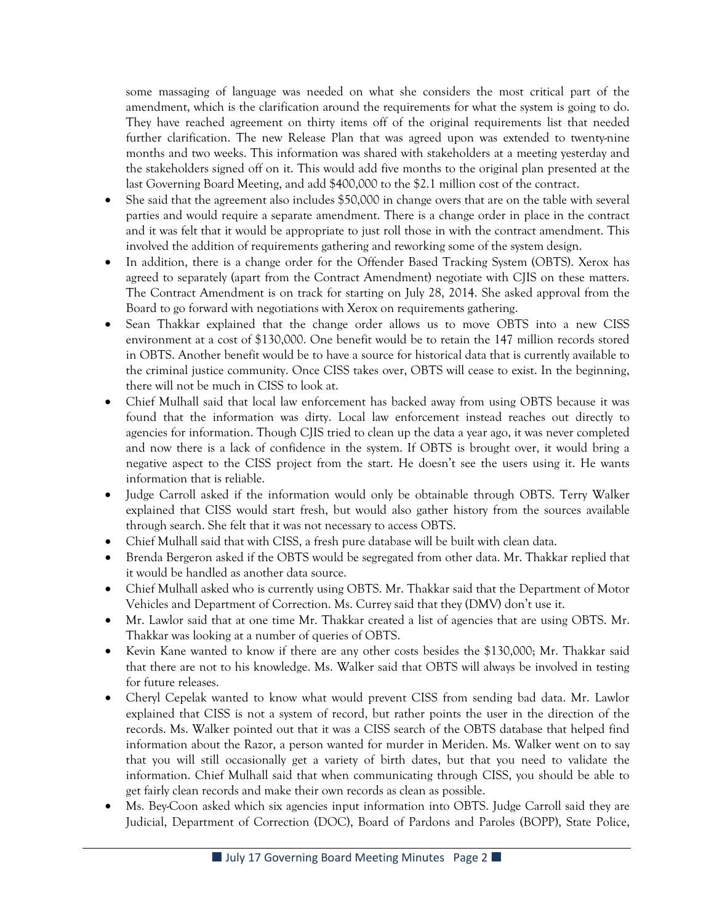some massaging of language was needed on what she considers the most critical part of the amendment, which is the clarification around the requirements for what the system is going to do. They have reached agreement on thirty items off of the original requirements list that needed further clarification. The new Release Plan that was agreed upon was extended to twenty-nine months and two weeks. This information was shared with stakeholders at a meeting yesterday and the stakeholders signed off on it. This would add five months to the original plan presented at the last Governing Board Meeting, and add \$400,000 to the \$2.1 million cost of the contract.

- She said that the agreement also includes \$50,000 in change overs that are on the table with several parties and would require a separate amendment. There is a change order in place in the contract and it was felt that it would be appropriate to just roll those in with the contract amendment. This involved the addition of requirements gathering and reworking some of the system design.
- In addition, there is a change order for the Offender Based Tracking System (OBTS). Xerox has agreed to separately (apart from the Contract Amendment) negotiate with CJIS on these matters. The Contract Amendment is on track for starting on July 28, 2014. She asked approval from the Board to go forward with negotiations with Xerox on requirements gathering.
- Sean Thakkar explained that the change order allows us to move OBTS into a new CISS environment at a cost of \$130,000. One benefit would be to retain the 147 million records stored in OBTS. Another benefit would be to have a source for historical data that is currently available to the criminal justice community. Once CISS takes over, OBTS will cease to exist. In the beginning, there will not be much in CISS to look at.
- Chief Mulhall said that local law enforcement has backed away from using OBTS because it was found that the information was dirty. Local law enforcement instead reaches out directly to agencies for information. Though CJIS tried to clean up the data a year ago, it was never completed and now there is a lack of confidence in the system. If OBTS is brought over, it would bring a negative aspect to the CISS project from the start. He doesn't see the users using it. He wants information that is reliable.
- Judge Carroll asked if the information would only be obtainable through OBTS. Terry Walker explained that CISS would start fresh, but would also gather history from the sources available through search. She felt that it was not necessary to access OBTS.
- Chief Mulhall said that with CISS, a fresh pure database will be built with clean data.
- Brenda Bergeron asked if the OBTS would be segregated from other data. Mr. Thakkar replied that it would be handled as another data source.
- Chief Mulhall asked who is currently using OBTS. Mr. Thakkar said that the Department of Motor Vehicles and Department of Correction. Ms. Currey said that they (DMV) don't use it.
- Mr. Lawlor said that at one time Mr. Thakkar created a list of agencies that are using OBTS. Mr. Thakkar was looking at a number of queries of OBTS.
- Kevin Kane wanted to know if there are any other costs besides the \$130,000; Mr. Thakkar said that there are not to his knowledge. Ms. Walker said that OBTS will always be involved in testing for future releases.
- Cheryl Cepelak wanted to know what would prevent CISS from sending bad data. Mr. Lawlor explained that CISS is not a system of record, but rather points the user in the direction of the records. Ms. Walker pointed out that it was a CISS search of the OBTS database that helped find information about the Razor, a person wanted for murder in Meriden. Ms. Walker went on to say that you will still occasionally get a variety of birth dates, but that you need to validate the information. Chief Mulhall said that when communicating through CISS, you should be able to get fairly clean records and make their own records as clean as possible.
- Ms. Bey-Coon asked which six agencies input information into OBTS. Judge Carroll said they are Judicial, Department of Correction (DOC), Board of Pardons and Paroles (BOPP), State Police,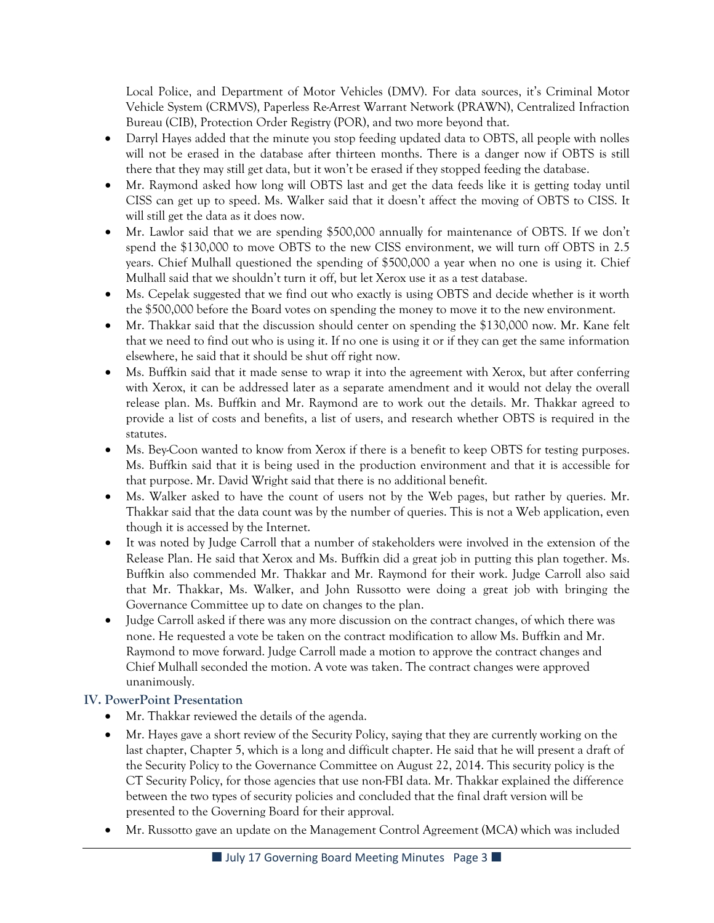Local Police, and Department of Motor Vehicles (DMV). For data sources, it's Criminal Motor Vehicle System (CRMVS), Paperless Re-Arrest Warrant Network (PRAWN), Centralized Infraction Bureau (CIB), Protection Order Registry (POR), and two more beyond that.

- Darryl Hayes added that the minute you stop feeding updated data to OBTS, all people with nolles will not be erased in the database after thirteen months. There is a danger now if OBTS is still there that they may still get data, but it won't be erased if they stopped feeding the database.
- Mr. Raymond asked how long will OBTS last and get the data feeds like it is getting today until CISS can get up to speed. Ms. Walker said that it doesn't affect the moving of OBTS to CISS. It will still get the data as it does now.
- Mr. Lawlor said that we are spending \$500,000 annually for maintenance of OBTS. If we don't spend the \$130,000 to move OBTS to the new CISS environment, we will turn off OBTS in 2.5 years. Chief Mulhall questioned the spending of \$500,000 a year when no one is using it. Chief Mulhall said that we shouldn't turn it off, but let Xerox use it as a test database.
- Ms. Cepelak suggested that we find out who exactly is using OBTS and decide whether is it worth the \$500,000 before the Board votes on spending the money to move it to the new environment.
- Mr. Thakkar said that the discussion should center on spending the \$130,000 now. Mr. Kane felt that we need to find out who is using it. If no one is using it or if they can get the same information elsewhere, he said that it should be shut off right now.
- Ms. Buffkin said that it made sense to wrap it into the agreement with Xerox, but after conferring with Xerox, it can be addressed later as a separate amendment and it would not delay the overall release plan. Ms. Buffkin and Mr. Raymond are to work out the details. Mr. Thakkar agreed to provide a list of costs and benefits, a list of users, and research whether OBTS is required in the statutes.
- Ms. Bey-Coon wanted to know from Xerox if there is a benefit to keep OBTS for testing purposes. Ms. Buffkin said that it is being used in the production environment and that it is accessible for that purpose. Mr. David Wright said that there is no additional benefit.
- Ms. Walker asked to have the count of users not by the Web pages, but rather by queries. Mr. Thakkar said that the data count was by the number of queries. This is not a Web application, even though it is accessed by the Internet.
- It was noted by Judge Carroll that a number of stakeholders were involved in the extension of the Release Plan. He said that Xerox and Ms. Buffkin did a great job in putting this plan together. Ms. Buffkin also commended Mr. Thakkar and Mr. Raymond for their work. Judge Carroll also said that Mr. Thakkar, Ms. Walker, and John Russotto were doing a great job with bringing the Governance Committee up to date on changes to the plan.
- Judge Carroll asked if there was any more discussion on the contract changes, of which there was none. He requested a vote be taken on the contract modification to allow Ms. Buffkin and Mr. Raymond to move forward. Judge Carroll made a motion to approve the contract changes and Chief Mulhall seconded the motion. A vote was taken. The contract changes were approved unanimously.

# **IV. PowerPoint Presentation**

- Mr. Thakkar reviewed the details of the agenda.
- Mr. Hayes gave a short review of the Security Policy, saying that they are currently working on the last chapter, Chapter 5, which is a long and difficult chapter. He said that he will present a draft of the Security Policy to the Governance Committee on August 22, 2014. This security policy is the CT Security Policy, for those agencies that use non-FBI data. Mr. Thakkar explained the difference between the two types of security policies and concluded that the final draft version will be presented to the Governing Board for their approval.
- Mr. Russotto gave an update on the Management Control Agreement (MCA) which was included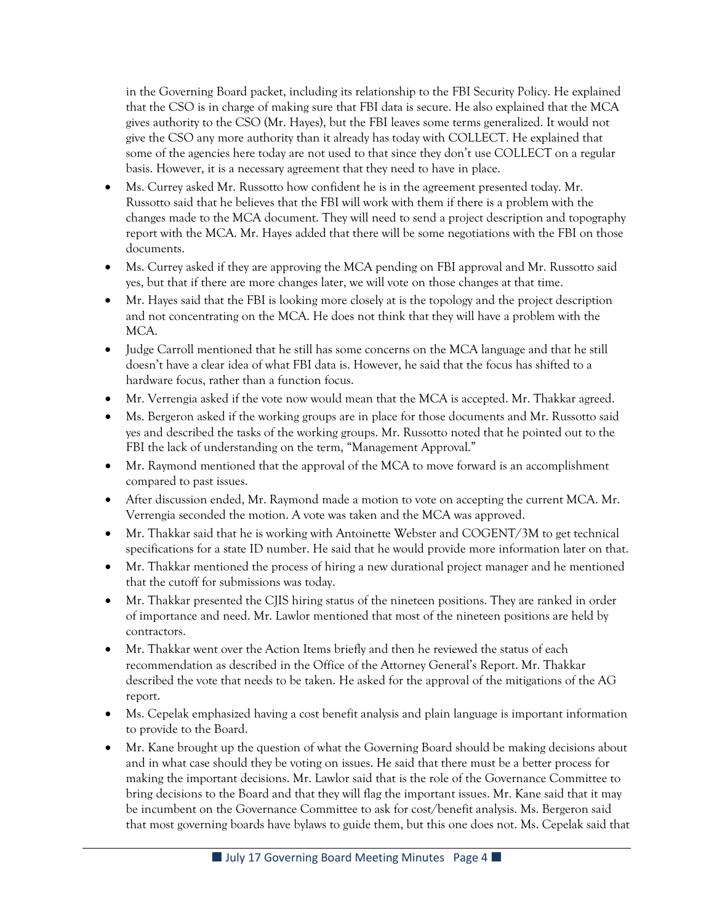in the Governing Board packet, including its relationship to the FBI Security Policy. He explained that the CSO is in charge of making sure that FBI data is secure. He also explained that the MCA gives authority to the CSO (Mr. Hayes), but the FBI leaves some terms generalized. It would not give the CSO any more authority than it already has today with COLLECT. He explained that some of the agencies here today are not used to that since they don't use COLLECT on a regular basis. However, it is a necessary agreement that they need to have in place.

- Ms. Currey asked Mr. Russotto how confident he is in the agreement presented today. Mr. Russotto said that he believes that the FBI will work with them if there is a problem with the changes made to the MCA document. They will need to send a project description and topography report with the MCA. Mr. Hayes added that there will be some negotiations with the FBI on those documents.
- Ms. Currey asked if they are approving the MCA pending on FBI approval and Mr. Russotto said yes, but that if there are more changes later, we will vote on those changes at that time.
- Mr. Hayes said that the FBI is looking more closely at is the topology and the project description and not concentrating on the MCA. He does not think that they will have a problem with the MCA.
- Judge Carroll mentioned that he still has some concerns on the MCA language and that he still doesn't have a clear idea of what FBI data is. However, he said that the focus has shifted to a hardware focus, rather than a function focus.
- Mr. Verrengia asked if the vote now would mean that the MCA is accepted. Mr. Thakkar agreed.
- Ms. Bergeron asked if the working groups are in place for those documents and Mr. Russotto said yes and described the tasks of the working groups. Mr. Russotto noted that he pointed out to the FBI the lack of understanding on the term, "Management Approval."
- Mr. Raymond mentioned that the approval of the MCA to move forward is an accomplishment compared to past issues.
- After discussion ended, Mr. Raymond made a motion to vote on accepting the current MCA. Mr. Verrengia seconded the motion. A vote was taken and the MCA was approved.
- Mr. Thakkar said that he is working with Antoinette Webster and COGENT/3M to get technical specifications for a state ID number. He said that he would provide more information later on that.
- Mr. Thakkar mentioned the process of hiring a new durational project manager and he mentioned that the cutoff for submissions was today.
- Mr. Thakkar presented the CJIS hiring status of the nineteen positions. They are ranked in order of importance and need. Mr. Lawlor mentioned that most of the nineteen positions are held by contractors.
- Mr. Thakkar went over the Action Items briefly and then he reviewed the status of each recommendation as described in the Office of the Attorney General's Report. Mr. Thakkar described the vote that needs to be taken. He asked for the approval of the mitigations of the AG report.
- Ms. Cepelak emphasized having a cost benefit analysis and plain language is important information to provide to the Board.
- Mr. Kane brought up the question of what the Governing Board should be making decisions about and in what case should they be voting on issues. He said that there must be a better process for making the important decisions. Mr. Lawlor said that is the role of the Governance Committee to bring decisions to the Board and that they will flag the important issues. Mr. Kane said that it may be incumbent on the Governance Committee to ask for cost/benefit analysis. Ms. Bergeron said that most governing boards have bylaws to guide them, but this one does not. Ms. Cepelak said that